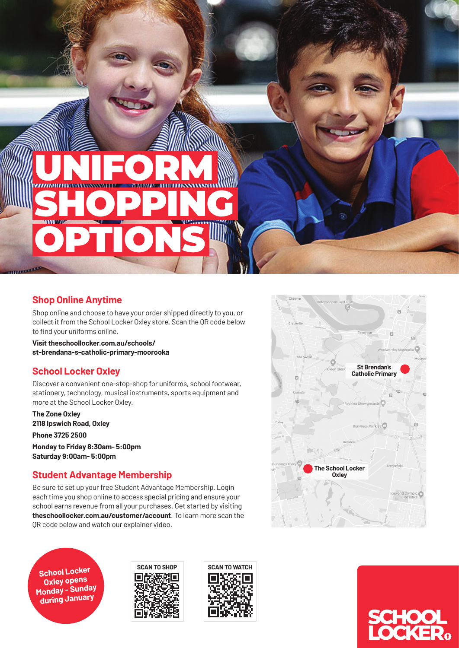SHOPPING OPTIONS

UNIFORM

## **Shop Online Anytime**

Shop online and choose to have your order shipped directly to you, or collect it from the School Locker Oxley store. Scan the QR code below to find your uniforms online.

**Visit theschoollocker.com.au/schools/ st-brendana-s-catholic-primary-moorooka**

# **School Locker Oxley**

Discover a convenient one-stop-shop for uniforms, school footwear, stationery, technology, musical instruments, sports equipment and more at the School Locker Oxley.

**The Zone Oxley 2118 Ipswich Road, Oxley**

**Phone 3725 2500**

**Monday to Friday 8:30am- 5:00pm Saturday 9:00am- 5:00pm**

# **Student Advantage Membership**

Be sure to set up your free Student Advantage Membership. Login each time you shop online to access special pricing and ensure your school earns revenue from all your purchases. Get started by visiting **theschoollocker.com.au/customer/account**. To learn more scan the QR code below and watch our explainer video.

**Oxley opens Monday - Sunday during January**